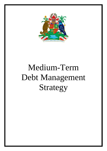

# Medium-Term Debt Management Strategy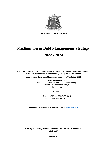

GOVERNMENT OF GRENADA

## **Medium-Term Debt Management Strategy**

## **2022 - 2024**

*This is a free electronic report. Information in this publication may be reproducedwithout restriction provided that due acknowledgment of the source is made.*

2022 Medium-Term Debt Management Strategy (MTDS) 2022-2024

**Debt Management Unit** Division of Economic Management and Planning Ministry of Finance and Energy The Carenage St. George's Grenada

> Tele: (473) 440-2214/ 435-8915 Fax: (473) 440-0775

This document is also available on the website at [http://www.gov.gd](http://www.gov.gd/)

**Ministry of Finance, Planning, Economic and Physical Development GRENADA**

**October 2021**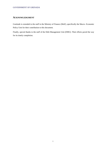#### <span id="page-2-0"></span>**ACKNOWLEDGMENT**

Gratitude is extended to the staff in the Ministry of Finance (MoF), specifically the Macro- Economic Policy Unit for their contribution to this document.

Finally, special thanks to the staff of the Debt Management Unit (DMU). Their efforts paved the way for its timely completion.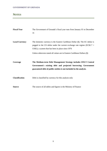### <span id="page-3-0"></span>**NOTES**

| <b>Fiscal Year</b>    | The Government of Grenada's fiscal year runs from January 01 to December                                                                                                                                                                                                                      |
|-----------------------|-----------------------------------------------------------------------------------------------------------------------------------------------------------------------------------------------------------------------------------------------------------------------------------------------|
|                       | 31                                                                                                                                                                                                                                                                                            |
| <b>Local Currency</b> | The domestic currency is the Eastern Caribbean Dollar (\$). The EC dollar is<br>pegged to the US dollar under the current exchange rate regime ( $EC$2.7 =$<br>US\$1); a system that has been in place since 1976<br>Unless otherwise stated all values are in Eastern Caribbean Dollars (\$) |
| Coverage              | The Medium-term Debt Management Strategy includes ONLY Central<br>Government's existing debt and projected borrowing. Government<br>guaranteed debt of public entities is not included in the analysis.                                                                                       |
| <b>Classification</b> | Debt is classified by currency for this analysis only                                                                                                                                                                                                                                         |
| <b>Source</b>         | The source of all tables and figures is the Ministry of Finance                                                                                                                                                                                                                               |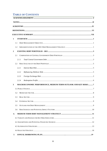## **TABLE OF CONTENTS**

<span id="page-4-0"></span>

| 1                |       |                                                               |     |
|------------------|-------|---------------------------------------------------------------|-----|
|                  | 1.1   |                                                               |     |
|                  | 1.2   |                                                               |     |
| $\boldsymbol{2}$ |       |                                                               |     |
|                  | 2.1   |                                                               |     |
|                  | 2.1.1 |                                                               |     |
|                  | 2.2   |                                                               |     |
|                  | 2.2.1 |                                                               |     |
|                  | 2.2.2 |                                                               |     |
|                  | 2.2.3 |                                                               |     |
|                  | 2.2.4 |                                                               |     |
| 3                |       | MACROECONOMIC PERFORMANCE, MEDIUM-TERM OUTLOOK AND KEY RISKS7 |     |
|                  |       |                                                               |     |
|                  | 3.2   |                                                               |     |
|                  |       |                                                               | . 9 |
|                  | 3.4   |                                                               |     |
|                  | 3.5   |                                                               |     |
|                  | 3.6   |                                                               |     |
| 4.               |       |                                                               |     |
|                  |       |                                                               |     |
|                  |       |                                                               |     |
|                  |       |                                                               |     |
|                  |       |                                                               |     |
| 5                |       |                                                               |     |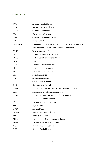#### **ACRONYMS**

| <b>ATM</b>     | <b>Average Time to Maturity</b>                               |
|----------------|---------------------------------------------------------------|
| <b>ATR</b>     | Average Time to Re-fixing                                     |
| <b>CARICOM</b> | Caribbean Community                                           |
| <b>CBI</b>     | Citizenship by Investment                                     |
| CDB            | Caribbean Development Bank                                    |
| <b>CNY</b>     | China Yuan Renminbi                                           |
| <b>CS-DRMS</b> | Commonwealth Secretariat Debt Recording and Management System |
| <b>DETC</b>    | Department of Economic and Technical Cooperation              |
| <b>DMU</b>     | Debt Management Unit                                          |
| <b>ECCB</b>    | Eastern Caribbean Central Bank                                |
| <b>ECCU</b>    | Eastern Caribbean Currency Union                              |
| <b>EUR</b>     | Euro                                                          |
| <b>FAA</b>     | <b>Finance Administration Act</b>                             |
| <b>FDI</b>     | Foreign Direct Investment                                     |
| <b>FRL</b>     | <b>Fiscal Responsibility Law</b>                              |
| FX             | Foreign Exchange                                              |
| <b>GBP</b>     | <b>Great Britain Pounds</b>                                   |
| <b>GDP</b>     | <b>Gross Domestic Product</b>                                 |
| GoG            | Government of Grenada                                         |
| <b>IBRD</b>    | International Bank for Reconstruction and Development         |
| <b>IDA</b>     | <b>International Development Association</b>                  |
| <b>IFAD</b>    | <b>International Fund for Agricultural Development</b>        |
| IMF            | <b>International Monetary Fund</b>                            |
| <b>IRP</b>     | <b>Investor Relations Programme</b>                           |
| <b>JYP</b>     | Japanese Yen                                                  |
| <b>KWD</b>     | <b>Kuwaiti Dinars</b>                                         |
| <b>LIBOR</b>   | London Inter-Bank Offer Rate                                  |
| MoF            | Ministry of Finance                                           |
| <b>MTDS</b>    | Medium-Term Debt Management Strategy                          |
| <b>MTFF</b>    | Medium-Term Fiscal Framework                                  |
| <b>NIS</b>     | National Insurance Scheme                                     |
| <b>OCR</b>     | <b>Ordinary Capital Resources</b>                             |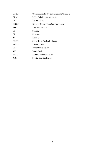| <b>OPEC</b>    | Organization of Petroleum Exporting Countries |
|----------------|-----------------------------------------------|
| <b>PDM</b>     | Public Debt Management Act                    |
| <b>PV</b>      | <b>Present Value</b>                          |
| <b>RGSM</b>    | <b>Regional Governments Securities Market</b> |
| <b>ROC</b>     | Republic of China                             |
| S1             | Strategy 1                                    |
| S2             | Strategy 2                                    |
| S <sub>3</sub> | Strategy 3                                    |
| <b>ST FX</b>   | <b>Short -Term Foreign Exchange</b>           |
| T-bills        | <b>Treasury Bills</b>                         |
| <b>USD</b>     | <b>United States Dollar</b>                   |
| <b>WB</b>      | World Bank                                    |
| <b>XCD</b>     | Eastern Caribbean Dollar                      |
| <b>XDR</b>     | <b>Special Drawing Rights</b>                 |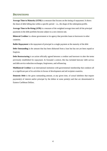#### <span id="page-7-0"></span>**DEFINITIONS**

**Average Time to Maturity (ATM)** is a measure that focuses on the timing of repayment. It shows the share of debt falling due within a specific period  $-i.e.,$  the shape of the redemption profile.

**Average Time to Re-fixing (ATR)** is a measure of the weighted average time until all the principal payments in the debt portfolio become subject to a new interest rate.

**Bilateral Creditor** is a donor government or its agency that provides loans to borrowers in other countries.

**Bullet Repayment** is the repayment of principal in a single payment at the maturity of the debt

**Debt Outstanding** is the amount that has been disbursed from a loan but has not yet been repaid or forgiven.

**Debt Restructuring** is an action officially agreed between a creditor and borrower to alter the terms previously established for repayment. In Grenada's context, this has included haircuts/ debt service and debt service reduction exchanges, forgiveness, and refinancing.

**Multilateral Creditor** is an international institution with governmental membership that conducts all or a significant part of its activities in favour of development and aid recipient countries.

**Domestic Debt** is the gross outstanding amount, at any given time, of actual liabilities that require payment(s) of interest and/or principal by the debtor at some point(s) and that are denominated in Eastern Caribbean Dollars.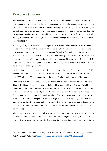#### <span id="page-8-0"></span>**EXECUTIVE SUMMARY**

l

The Public Debt Management (PDM) Act enacted in June 2015 provides the framework for effective debt management, which involves the establishment and execution of a strategy for managing public sector debt. The Medium-Term Debt Management Strategy (MTDS<sup>1</sup>) is a plan aimed at achieving the desired debt portfolio consistent with the debt management objectives. It ensures that the Government's funding needs are met with due consideration of its cost and risk objectives. The MTDS, among other considerations, highlights a preferred strategy that can be used over the mediumterm (2022-2024).

Following a sharp decline in output of 13.8 percent in 2020 occasioned by the COVID-19 pandemic, the economy is anticipated to recover in 2021 expanding by 4.8 percent in real terms. The pace of recovery is contingent largely on global recovery and the path of the pandemic. Growth is expected to rebound over the medium-term (2022-2024) and will average 4.3 percent. The fiscal sector is projected to improve with primary and overall balances averaging 3.9 percent and 2.1 percent of GDP respectively. Consistent with global trade restrictions and tightening financial conditions, the trade deficit is estimated to expand in 2021.

At the end of 2021, Central Government debt is estimated to be \$2.1 billion of which external debt amounts to \$1.5 billion and domestic debt \$ 0.6 billion. Total debt service for the year is estimated to be \$ 277.3 million or 30.0 percent of revenue inclusive of rollover and reissuance of Treasury bills.

Concerning risks in the existing portfolio, the interest rate is subject to moderate risk. The Average Time to Re-Fixing (ATR) of the total portfolio is 9.0 years, of which 20.7 percent is subject to a change in interest rates in one year. The risk resides predominantly in the domestic portfolio given that 36.7 percent of the debt is subject to re-fixing in one year, namely Treasury bills. Variable-rate debt accounts for 6.5 percent of the total portfolio and hence does not pose a significant risk. The refinancing risk profile of the portfolio has an Average Time to Maturity (ATM) of 9.4 years, which exceeds the set target of 8 years and above. The portfolio's exposure to foreign exchange risk is minimal (72.8 percent) as most of the foreign currency debt is denominated in USD to which the EC dollar is pegged.

Three strategies were analyzed, and all strategies were subject to various stress scenarios including interest and exchange rate shocks of moderate and extreme degrees. The analysis illustrates that Strategy 3 (S3) represents the most feasible option for financing the Government's needs in the

<sup>&</sup>lt;sup>1</sup> IMF and World Bank (2009). "*Developing a Medium-Term Debt Management Strategy —Guidance Note for Country Authorities*" [http://www.imf.org/external/np/pp/eng/2009/030309a.pdf.](http://www.imf.org/external/np/pp/eng/2009/030309a.pdf)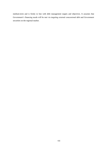medium-term and is firmly in line with debt management targets and objectives. It assumes that Government's financing needs will be met via targeting external concessional debt and Government securities on the regional market.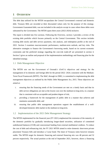#### <span id="page-10-0"></span>**1 OVERVIEW**

The debt data utilized for the MTDS encapsulates the Central Government's external and domestic debt. Treasury Bills are recorded at their discounted values only for the purpose of this strategy. Government Guaranteed debt, was not included in the analysis except in cases where these debts were subsumed by the Government. The MTDS spans three years (2022-2024) inclusive.

The report is divided into five sections. Following the Overview, section 2 provides a review of the existing debt portfolio which focuses primarily on the Central Government. This section includes existing debt stocks and debt service payments, risk analysis, and redemption profile at the end of 2021. Section 3 examines macroeconomic performance, medium-term outlook, and key risks. The alternative strategies to finance the Government's borrowing needs, based on its current economic constraints and the preferred strategy regarding the cost-risk trade-off are presented in section 4. Section 5 gives an outline and proposal of the implementation methodology and financing plan for the identified strategy.

#### 1.1 Debt Management Objective

The MTDS sets out the Government of Grenada's (GoG's) objectives and strategy for the management of its domestic and foreign debt for the period 2022- 2024; consistent with the Medium-Term Fiscal Framework (MTFF). The MoF, through its DMU, is committed to implementing the debt management objectives as outlined by the Public Debt Management Act, 2015. These objectives are aimed at:

- i. ensuring that the financing needs of the Government are met on a timely basis and that its debt service obligations are met at the lowest cost over the medium-to-long term, in a manner that is consistent with an acceptable and prudent degree of risk;
- ii. providing a framework for the management of public debt in a manner that achieves and maintains sustainable debt; and
- iii. ensuring that public debt management operations support the establishment of a welldeveloped domestic debt market in the medium-to-long term.

#### <span id="page-10-1"></span>1.2 Implementation of the 2021 Debt Management Strategy

The MTDS implemented for the financial year (FY 2021) emphasized the extension of the maturity of the domestic portfolio by gradually introducing longer-dated securities, utilization of committed undisbursed balances (CUB) and concessional funding from external multilateral creditors. To reduce the cost of debt and refinancing risk, the FY 2021 MTDS aimed to retire domestic short-term private placement Treasury bills and introduce a 5-year bond. The share of Treasury notes however remains stable. The MTDS target for domestic financing and external financing mix was 48 percent and 52 percent respectively. The actual position at the end of September 2021, however, shows a financing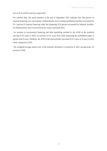mix of 43.6 and 56.4 percent respectively.

For external debt, the actual position at the end of September 2021 indicates that 100 percent of external financing was concessional. Disbursements from existing multilateral facilities accounted for 67.1 percent of external financing while the remaining 32.9 percent accounted for bilateral facilities. No disbursements were received from new loans contracted 2021.

An increase in concessional financing and debt reprofiling resulted in the ATM of the portfolio moving to 9.4 years in 2021, an increase of 0.5 years from 2020 surpassing the established target of greater than 8 years. Similarly, the ATR of the total portfolio increased by 0.5 years to 9 years in 2021 when compared to 2020.

The weighted average interest rate of the portfolio declined to 2.8 percent in 2021 moving from 3.0 percent in 2020.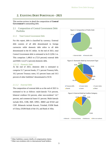#### <span id="page-12-1"></span><span id="page-12-0"></span>**2. EXISTING DEBT PORTFOLIO - 2021**

This section reviews in detail the composition of **Central Government's** outstanding debt.

#### 2.1 Composition of Central Government Debt Portfolio

#### <span id="page-12-2"></span>2.1.1 Total Central Government Debt

For this report, debt is classified by currency. External debt consists of all debt denominated in foreign currencies while domestic debt refers to all debt denominated in the EC dollar. At the end of 2021, total Central Government debt is estimated to be \$ 2,056.1 m. This comprises 1,496.0 m (72.8 percent) external debt and \$560.1 m (27.2 percent) domestic debt.

#### *2.1.1.1 Domestic Debt*

At the end of 2021, domestic debt is estimated to comprise 51.7 percent bonds, 27.1 percent Treasury bills, 10.2 percent Treasury notes, 0.5 percent loans and 10.5 percent of other liabilities<sup>2</sup> denominated in XCD.

#### *2.1.1.2 External Debt*

The composition of external debt as at the end of 2021 is estimated to be as follows: multi-laterals 75.6 percent, bilateral creditors 9.6 percent, other non-residents<sup>3</sup> 14.7 percent, and commercial loans 0.1 percent. Multi-laterals include IDA, CDB, IMF, OPEC, IBRD and IFAD and CDF. Bilaterals include Kuwait, Trinidad, EXIM Bank of China, EXIM Bank of the US, and Bank of Alba.





#### **Figure 3: External Debt by Creditor Category**



 $\overline{a}$ 

<sup>2</sup> Other liabilities consist chiefly of compensation claims.

<sup>3</sup> Other non-residents refer to international bond holders.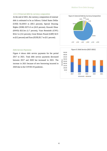#### *2.1.1.3 External debt by currency composition*

At the end of 2021, the currency composition of external debt is estimated to be as follows: United States Dollar (USD) \$1,039.9 m (69.5 percent), Special Drawing Rights (XDR) \$371.8 m (24.9 percent), Kuwaiti Dinar (KWD) \$25.5m (1.7 percent), Yuan Renminbi (CNY) \$54.2 m (3.6 percent), Great Britain Pound (GBP) \$2.9 m (0.2 percent) and Euro (EUR) \$1.7 m (0.1 percent).



#### *Debt Service Payments*

Figure 4 shows debt service payments for the period 2017 to 2021. Total debt service payments decreased between 2017 and 2020 but increased in 2021. The increase in 2021 because of new borrowing incurred in 2020 due to the COVID-19 pandemic.

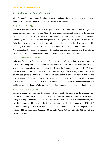#### 2.2 Risk Analysis of the Debt Portfolio

The debt portfolio has inherent risks related to market conditions; basic cost and risk indicators were analysed. The main portfolio risks in 2021 are covered in this section.

#### <span id="page-14-0"></span>2.2.1 Interest Rate Risk

Grenada's debt portfolio has an ATR of 9.0 years of which 20.7 percent of total debt is subject to a change in the interest rate in one year (Table 1). Interest rate risk is mainly inherent in the domestic debt portfolio with an ATR of 5.7 years with 36.7 percent of its debt subject to re-fixing in one year. Conversely, the ATR for the external debt portfolio is 10.2 years with 14.8 percent of this debt refixing in one year. Additionally, 91.1 percent of external debt is contracted on fixed-rate terms. The remaining 8.9 percent reflects variable rate debt owed to multilateral and bilateral creditors. Notwithstanding, Government is cognizant of the pending transition from London Inter-Bank Offered Rate (LIBOR), and any risks posed this transition will continue be closely monitored.

#### <span id="page-14-1"></span>2.2.2 Refinancing /Rollover Risk

Rollover/refinancing risk shows the vulnerability of the portfolio to higher costs for refinancing maturing debt obligations within a period or in extreme cases if the debt cannot be rolled over at all. With an overall operational target of greater than 8 years, the Average Time to Maturity (ATM) of Grenada's debt portfolio is 9.4 years which surpasses its target. This is mainly skewed towards the external debt portfolio which has an ATM of 10.8 years of which only 6.9 percent matures in one year. In contrast, domestic debt is mainly exposed to refinancing risk due to its relatively short maturity profile. The ATM of domestic debt is 5.7 years of which 36.7 percent will mature in one year and is subjected to refinancing/rollover risks since a significant portion of short-term debts is reissued.

#### <span id="page-14-2"></span>2.2.3 Foreign Exchange Risk

Foreign exchange risk measures the exposure of the portfolio to changes in the exchange rate. Grenada's debt portfolio is minimally exposed to foreign exchange risk. The debt contracted in foreign currency accounts for 72.8 percent of the total debt portfolio. This is in line with the target of less than or equal to 80 percent set for foreign exchange debt. The debt contracted in USD (69.5 percent) has the largest share of the total foreign debt. Non-USD denominated debt comprises of debt in XDR (24.9 percent), Yuan Renminbi (3.6 percent), Kuwait (1.7 percent), GBP (0.2 percent) and EUR (0.1 percent).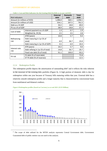#### GOVERNMENT OF GRENADA

|                             | rabit 11 Cost and rush muitators for the Existing Debt I ortrong as at year thu PoPT | <b>External</b> | <b>Domestic</b> | <b>Total</b> |
|-----------------------------|--------------------------------------------------------------------------------------|-----------------|-----------------|--------------|
| <b>Risk Indicators</b>      |                                                                                      | debt            | debt            | debt         |
| Amount (in millions of XCD) |                                                                                      | 1,496.0         | 560.1           | 2,056.1      |
| Amount (in millions of USD) |                                                                                      | 554.1           | 207.5           | 761.5        |
| Debt as a % GDP             |                                                                                      | 50.2            | 18.8            | 69.0         |
| PV as a % of GDP            |                                                                                      | 38.9            | 18.8            | 57.7         |
| Cost of debt                | Interest payment as a % GDP                                                          | 1.3             | 0.7             | 1.9          |
|                             | Weighted Av. IR (%)                                                                  | 2.5             | 3.5             | 2.8          |
|                             | ATM (years)                                                                          | 10.8            | 5.7             | 9.4          |
| Refinancing                 | Debt maturing in 1yr (% of                                                           |                 |                 |              |
| risk                        | total)                                                                               | 6.9             | 36.7            | 15.0         |
|                             | Debt maturing in 1yr (% of GDP)                                                      | 3.5             | 6.9             | 10.4         |
|                             | ATR (years)                                                                          | 10.2            | 5.7             | 9.0          |
| Interest rate<br>risk       | Debt refixing in 1yr (% of total)                                                    | 14.8            | 36.7            | 20.7         |
|                             | Fixed rate debt (% of total)                                                         | 91.1            | 100.0           | 93.5         |
| FX risk                     | FX debt (% of total debt)                                                            |                 |                 | 72.8         |
|                             | ST FX debt (% of reserves)                                                           |                 |                 | 12.5         |

**Table 1: Cost and Risk Indicators for the Existing Debt Portfolio as at year-end2021**

#### <span id="page-15-0"></span>2.2.4 Redemption Profile

<span id="page-15-1"></span>l

The redemption profile depicts the amortization of outstanding debt<sup>4</sup> and it reflects the risks inherent in the structure of the existing debt portfolio (Figure 6). A high portion of domestic debt is due for redemption within one year because of Treasury bills maturing within that year. External debt has a relatively smooth redemption profile and a longer maturity that is characterised by concessional loans from multilateral and bilateral creditors.





<sup>4</sup> The scope of debt utilized for the MTDS analysis represents Central Government debt. Government Guaranteed debt of public entities was not used in this analysis.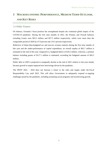## **3 MACROECONOMIC PERFORMANCE, MEDIUM TERM OUTLOOK, AND KEY RISKS**

#### <span id="page-16-0"></span>3.1 Public Finance

On balance, Grenada's fiscal position has strengthened despite the continued global impact of the COVID-19 pandemic. During the first nine months of 2021, the Primary and Overall balances including Grants were \$93.3 million and \$57.5 million respectively, which were more than the comparable period of 2020 by 47.9 percent and 119.5 percent respectively.

Reflective of better-than-budgeted tax and non-tax revenue outturns during the first nine months of this year and the under-performance of capital expenditure, an overall surplus of \$62.7 million is estimated at the end of this year compared to a budgeted deficit of \$18.2 million. Likewise, a primary balance including grants of \$117.1 million is estimated, exceeding the budgeted amount of \$45.5 million.

Public debt to GDP is projected to marginally decline at the end of 2021 relative to last year mainly because growth in output outpaced new borrowings driven by the pandemic.

The MTFF 2022 – 2024 does not forecast a return to the rules and targets under the Fiscal Responsibility Law until 2023. This will allow Government to adequately respond to ongoing challenges posed by the pandemic, including sustaining social programs and incentivizing growth.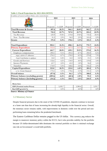T

#### **Table 2: Fiscal Projections for 2022-2024 (MTFF)**

*In millions of Eastern Caribbean Dollars, unless stated otherwise*

| In muuns of Lastern Carlobean Dollars, uniess statea orberwise | 2022      |         | 2023      |         | 2024      |          |
|----------------------------------------------------------------|-----------|---------|-----------|---------|-----------|----------|
|                                                                |           |         |           |         |           |          |
|                                                                | Projected | $%$ GDP | Projected | $%$ GDP | Projected | $%$ GDP  |
| Total Revenue & Grants                                         | 897.6     | 28.2%   | 946.3     | 28.0%   | 963.7     | 27.1%    |
| <b>Total Revenue</b>                                           | 722.2     | 22.7%   | 767.8     | 22.7%   | 812.2     | 22.9%    |
| Tax Revenue                                                    | 630.9     | 19.8%   | 670.8     | 19.8%   | 710.4     | $20.0\%$ |
| Non - Tax Revenue                                              | 91.3      | 2.9%    | 96.9      | 2.9%    | 101.8     | 2.9%     |
| Grants                                                         | 175.4     | 5.5%    | 178.6     | 5.3%    | 151.5     | 4.3%     |
|                                                                |           |         |           |         |           |          |
| <b>Total Expenditure</b>                                       | 995.5     | 31.3%   | 890.1     | 26.3%   | 775.7     | 21.8%    |
| <b>Primary Expenditure</b>                                     | 931.8     | 29.3%   | 827.9     | 24.5%   | 718.8     | 20.2%    |
| <b>Current Expenditure</b>                                     | 661.7     | 20.8%   | 659.1     | 19.5%   | 573.8     | 16.2%    |
| Employee compensation                                          | 290.5     | $9.1\%$ | 293.5     | 8.7%    | 294.9     | 8.3%     |
| wages, salaries & allowances                                   | 276.5     | 8.7%    | 278.9     | 8.3%    | 279.8     | 7.9%     |
| Social Contribution to employees                               | 14.0      | 0.4%    | 14.5      | 0.4%    | 15.1      | 0.4%     |
| Goods and Services                                             | 132.6     | 4.2%    | 134.9     | 4.0%    | 119.8     | 3.4%     |
| <b>Interest Payments</b>                                       | 63.7      | 2.0%    | 62.2      | 1.8%    | 56.8      | 1.6%     |
| Transfers                                                      | 174.9     | $5.5\%$ | 168.6     | $5.0\%$ | 102.2     | 2.9%     |
| <b>Capital Expenditure</b>                                     | 333.8     | 10.5%   | 231.0     | 6.8%    | 201.8     | 5.7%     |
| o/w: Grant financed                                            | 175.4     | $5.5\%$ | 178.6     | 5.3%    | 151.5     | 4.3%     |
| Overall balance                                                | (97.9)    | $-3.1%$ | 56.3      | 1.7%    | 188.0     | 5.3%     |
| Primary balance (excluding grants)                             | (209.6)   | $-6.6%$ | (60.1)    | $-1.8%$ | 93.4      | 2.6%     |
| Primary balance (including grants)                             | (34.2)    | $-1.1%$ | 118.5     | 3.5%    | 244.9     | 6.9%     |
| Memo Item                                                      |           |         |           |         |           |          |
| <b>GDP</b> (Nominal market Prices)                             |           | 3,185.7 |           | 3,380.6 |           | 3,551.7  |
| Real GDP growth (%)                                            |           | 4.5%    |           | 4.4%    |           | 4.0%     |

*Source: Ministry of Finance*

#### 3.2 Monetary Sector

Despite financial pressures due to the onset of the COVID-19 pandemic, deposits continue to increase at a faster rate than that of loans increasing the already-high liquidity in the financial sector. Overall, the monetary sector remains stable, with improvements in domestic credit over the period and nonperforming loans remaining below the prudential benchmark.

The Eastern Caribbean Dollar remains pegged to the US dollar. This currency peg reduces the margin to maneuver monetary policy within the ECCU, but it also provides stability for the portfolio because US dollar-denominated debt dominates the external portfolio so there is minimal exchange rate risk on Government's overall debt portfolio.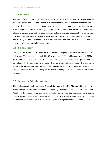#### <span id="page-18-0"></span>3.3 Real Sector

The effect of the COVID-19 pandemic continues to be visible in the economy 18 months after the first case was recorded on island. Activity in most sectors for the first half of the year remained below pre-covid levels, but there are indications of recovery in some sectors relative to 2020. Growth in 2021 is projected to be 4.8 percent largely driven by activity in the construction sector with private education, manufacturing and wholesale and retail trade showing signs of rebound. It is expected that recovery in the tourism sector will be gradual. There was a marginal increase in inflation in the first half of 2021, and this is expected to rise further with projected increases in global food and fuel prices, as well as international shipping costs.

#### <span id="page-18-1"></span>3.4 External Sector

During the first half of this year, the trade balance worsened slightly relative to the comparable period of last year. The trade deficit expanded by 5.8 percent from -\$480.0 million at the end June 2020 to - \$507.9 million at the end of June 2021. Increases in imports and exports of 8.2 percent and 52.5 percent respectively, accounted the widening deficit. It is anticipated that the trade deficit will further widen as the adverse impacts of the protracted pandemic ensues. This will negatively affect foreign currency earnings that can adversely affect country's ability to meet the external debt service payments.

#### <span id="page-18-2"></span>3.5 Outlook for Debt Management

The development of a well-functioning Regional Government Securities Market (RGSM) provides an avenue through which the GoG can raise debt financing efficiently to meet the Government's needs. Albeit over-the-counter transactions also have its place in the borrowing programme. Government's investor relations plan, already approved in principle, is expected to gain some traction in the upcoming year as the front office of the Debt Unit prepares to operationalize the planned activities.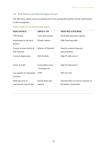#### 3.6 Risk Sources and Potential Impact Factors

The table below details sources of potential risk on the existing debt portfolio and the related impact on debt management.

**Table 3: Risk Sources and Potential Impact**

| <b>RISK SOURCE</b>                              | <b>IMPACT ON</b>                      | <b>DEBT-RELATED RISK</b>                                            |
|-------------------------------------------------|---------------------------------------|---------------------------------------------------------------------|
| GDP decline                                     | Taxes and revenues                    | Weak debt repayment capacity                                        |
| Deterioration in the fiscal<br>position         | Primary balance                       | High financing needs                                                |
| Current Account Deficit &<br>FDI reduction      | <b>Balance of Payments</b>            | Need for external financing<br>(private/public)                     |
| Currency depreciation                           | Debt Portfolio                        | High FX debt service                                                |
| Terms of Trade                                  | Commodities prices<br>Exchange rate   | High FX debt service                                                |
| Low appetite for long-dated<br>securities       | <b>ATM</b>                            | Roll-over risk                                                      |
| Reducing stock of<br>concessional external debt | <b>Interest Rates and</b><br>maturity | Potential drain on reserves/ pressure on<br>the balance of payments |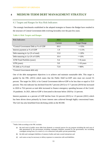#### <span id="page-20-0"></span>**4 MEDIUM-TERM DEBT MANAGEMENT STRATEGY**

#### <span id="page-20-1"></span>4.1 Targets and Ranges for Key Risk Indicators

The strategic benchmarks established in the adopted strategies to finance the Budget have resulted in the structure of Central Government debt evolving favorably over the past few years.

#### **Table 4: Risk Targets and Ranges**

| <b>Risk Indicators</b>               | 2021    | 2024                |
|--------------------------------------|---------|---------------------|
|                                      | Current | <b>Target Range</b> |
| *Central Government Debt as % of GDP | 69.0    | $\leq 55\%$         |
| Interest payment as % of GDP         | 1.9     | $\leq$ 2.5%         |
| Debt maturing in 1yr (% of total)    | 15.0    | $\leq$ 20%          |
| Debt maturing in 1yr (% of GDP)      | 10.4    | $\leq$ 10%          |
| <b>ATM</b> Total Portfolio (years)   | 9.4     | $>= 8$ years        |
| ATR (years)                          | 9.0     | $>=10$ years        |
| FX debt as % of total                | 72.8    | $\leq$ = 80%        |

*\*Central Government debt only*

One of the debt management objectives is to achieve and maintain sustainable debt. This target is guided by the FRL  $(2015)$  which states that the Public Debt<sup>5</sup>-to-GDP ratio must not exceed 55 percent. The target for 2024, is for Central Government debt-to-GDP to be less than or equal to 55.0 percent. This risk indicator has declined from 84.7 percent (2015) to 57.7 percent (2019) but increased in 2020 to 70.6 percent as total debt increased to finance emergency spending because of the Covid-19 pandemic. In 2021, debt-to-GDP is forecasted to decrease below 2020 by 1.6 percent.

Interest payments as a percent of GDP decline from 3.6 percent (2015) to 1.9 percent (2021) which has been driven down primarily by lower interest rates achieved through highly concessional loans. The GoG has also benefitted from declining yields on the RGSM.

 $\overline{a}$ 

<sup>&</sup>lt;sup>5</sup> Public Debt according to the FRL includes:

<sup>(</sup>a) the total stock of public sector debt from domestic or external sources for any purpose including the total sum of debt guaranteed by the government including contingent liabilities assumed by the government, but excluding contingent arising from, as a result of, or in connection with public-private partnership;

<sup>(</sup>b) the debt and contingent liabilities of statutory bodies and state-owned enterprises; and

<sup>(</sup>c) such sums as may be necessary to defray expenses in connection with suchliabilities.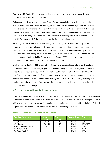Consistent with GoG's debt management objective to have a low cost of debt, the target is to maintain the current cost of debt below 2.5 percent.

Debt maturing in 1 year as a share of total Central Government debt is set to be less than or equal to 20.0 percent of total debt. While this may appear as a high concentration of repayments in the shortterm, it reflects the importance of Treasury-bills in the development of the domestic market and also meeting statutory requirements for the financial sector. This indicator has declined from 17.8 percent (2015) to 15.0 percent (2021), reflective of the conversion of Treasury-bills to Treasury notes in 2019 & 2020. As a share of GDP, the target is to keep the risk below 10.0 percent.

Extending the ATM and ATR of the total portfolio to 8 years or more and 10 years or more respectively reduces the refinancing risk and avoids pressures on GoG to secure new sources of financing. The existing debt is primarily from concessional sources and development partners with long maturities. The policy of the Government, as is reflected in this MTDS, emphasizes the implementation of existing Public Sector Investment Projects (PSIP) and draws down on committed undisbursed balances from external creditors on concessional terms.

While the targeted ratio of 80.0 percent of the Central Government debt portfolio being denominated in foreign currencies suggests a high exposure to foreign currency risk, this is manageable as there is a large share of foreign currency debt denominated in USD. There is little volatility in the USD/XCD rate due to the peg. Risks of valuation changes due to exchange rate movements and market expectations suggest that the XCD will appreciate against the XDR. Non-USD foreign currency debt has been increasing as a share of external debt in the portfolio; and will be monitored closely in the implementation of the strategy.

#### <span id="page-21-0"></span>4.2 Assumptions and Potential Financing Sources

Over the medium term (2022 -2024), it is anticipated that funding will be received from multilateral institutions on concessional terms to meet the financing needs. This includes Regional Development Banks which may also be targeted to provide funding for upcoming projects and resilience building. Table 5 displays proposed financial terms and indicative sources of financing over the medium term.

| <b>Creditor/Instrument</b>          | <b>Maturity</b><br>Years) | Grace<br>(Years) | <b>Interest Type</b> | <b>Currency</b> |
|-------------------------------------|---------------------------|------------------|----------------------|-----------------|
| Multilateral                        | $20 - 25$                 | 10               | Fixed                | USD             |
| Multilateral                        | $36 - 40$                 | 10               | Fixed                | XDR/USD         |
| <b>Private Commercial Creditors</b> | 10                        |                  | Fixed                | <b>USD</b>      |
| 2yr Note (Bullet)                   |                           |                  | Fixed                | XCD             |
| 5yr Bond (Bullet)                   |                           |                  | Fixed                |                 |

#### **Table 5: Proposed Terms of Financial Instruments**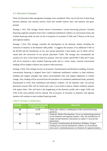#### <span id="page-22-0"></span>4.3 Alternative Strategies

Three (3) alternative debt management strategies were considered. They vary by the mix of borrowing between domestic and external sources, fixed and variable interest rates, and maturity and grace periods.

Strategy 1 (S1): This strategy closely mirrors Government's current borrowing practices. External financing originates primarily from GoG's traditional multilateral creditors on concessional terms and residual financing needs are met via the re-issuances of securities (T-bills and T-Notes) on the local and regional markets.

Strategy 2 (S2): This strategy considers the development of the domestic market including the extension of maturity of the domestic debt profile. It suggests the issuance of an additional T-bill on the RGSM and the introduction of two new private placement 3-year bonds, one of which will be issued after the conversion of two private placement T-bills. The strategy also recommends the issuance of a new 5-year bond to fund new projects. Over the counter and RGSM T-bills and T-notes will all be reissued to meet residual financing needs and to a lesser extent, external concessional funding will be sought to finance new projects when necessary.

Strategy 3 (S3): This strategy focuses on Economic Transformation and Resilience building. External, concessional financing is targeted from GoG's traditional multilateral creditors to fund resilience building and support strategies that reduce environmental risks and support adaptation to climate change. Also, funding will be received from the drawdown of committed undisbursed funds, primarily denominated in USD, from multilateral and bilateral creditors. On the domestic side, two private placement treasury bills will be retired and a new 5-year bond to finance climate resilience projects will replace them. This will lead to the lengthening of the domestic profile and a larger ATM and ATR of the total portfolio will be realised. The re-issuance of securities on domestic and regional markets will continue to meet residual financing needs.

| <b>Strategy</b> | <b>Average Financing Mix</b><br>$(\%)(\text{Ext: Dom})$ | <b>Objectives</b>                                                                                                                                                                                            |
|-----------------|---------------------------------------------------------|--------------------------------------------------------------------------------------------------------------------------------------------------------------------------------------------------------------|
| S1              | 51:49                                                   | Status quo- reflects a combination of the current borrowing<br>practices.                                                                                                                                    |
| S <sub>2</sub>  | 45:55                                                   | Domestic Market Development- Focus on maintaining presence<br>on the domestic and regional markets. Also, the introduction of<br>longer-termed domestic instruments to replace 1-year private<br>placements. |
| S3              | 52:48                                                   | Economic Transformation & Resilience Building-Targets<br>funding from external multilateral creditors on concessional<br>terms and a continued presence on domestic & regional markets.                      |

#### **Table 6: Strategy Considerations**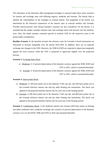The robustness of the alternative debt management strategies is assessed under three stress scenarios for interest and exchange rates with differing impacts: moderate and extreme. The shocks help to identify the vulnerabilities of the strategies to external shocks. The magnitude of the shocks was determined by the historical experiences of the interest rates in external markets and Grenada. Possible macroeconomic risks facing Grenada's economy are also considered. For the shocks, it is assumed that the market variables (interest rates and exchange rates) will increase over the mediumterm. Also, the model assumes consistent growth in nominal GDP for the respective years in the period under consideration.

**Baseline Scenario**: In the baseline scenario the reference rates for 6-month re-fixed instruments are forecasted to increase marginally over the period 2022-2024. In addition, there are no expected exchange rate changes in the USD. However, the XDR  $&$  KWD are expected to depreciate marginally against the local currency while the CNY is projected to appreciate slightly over the projection horizon.

#### **Scenario 1: Exchange Rate Shock**

a) Moderate: A 15 percent depreciation of the domestic currency against the XDR, KWD and CNY in 2021, which is sustained thereafter. b) Extreme: A 30 percent depreciation of the domestic currency against the XDR, KWD and

CNY in 2021, which is sustained thereafter.

#### **Scenario 2:** Interest Rate Shock

- a) Moderate: A 100 basis points rise in the domestic T-bill cap rate, and 200 basis points rise in the 6-month reference interest rate and any other floating rate instruments. The shock was applied to the projected baseline interest rate for each year of the Strategy period.
- b) Extreme: A 200 basis points rise in the domestic T-bill cap rate, and 400 basis points rise in the 6-month reference interest rate and any other floating rate instruments. The shock was applied to the projected baseline interest rate for each year of the Strategy period.

**Scenario 3:** Combination Shock- is the moderate interest rate scenario (200 basis points on floating rate debt) combined with a moderate exchange rate scenario (15 percent depreciation of the domestic currency vis-a-vis the KWD, XDR and CNY) in 2022 and sustained thereafter.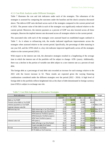#### 4.3.1 Cost Risk Analysis under Different Strategies

Table 7 illustrates the cost and risk indicators under each of the strategies. The robustness of the strategies is assessed by comparing the outcomes under the baseline and the shock scenarios discussed above. The debt-to-GDP ratio declined across each of the strategies compared to the current period end of 2021. The present value of the debt in each of the strategies was significantly reduced relative to the current period. Moreover, the interest payment as a percent of GDP was also lowered across all three strategies, likewise the implied interest rate decreased across all strategies relative to the current period.

The associated risks with each of the strategies were assessed based on established targets outlined in Table 7. As it relates to refinancing risk, the results indicated significant improvements across the strategies when assessed relative to the current period. Specifically, the percentage of debt maturing in one year fell, and the ATM which is a key risk indicator improved significantly across all the strategies relative to the current period (2021).

With respect to the interest rate risk, the alternative strategies resulted in a lengthening of the average time in which the interest rate of the portfolio will be subject to change- ATR- (years). Additionally, there was a decline in the portion of variable rate debt subject to a new interest rate as a percent of total debt.

The foreign debt as a percentage of total debt ratio recorded an increase for each strategy relative to the 2021 with the lowest increase in S2. These results are expected given the varying financing combinations considered under the different strategies over the period (2022 - 2024). A high level of foreign debt in the portfolio reflects heightened risk as the share of debt denominated in foreign currency (non-USD) is subject to exchange rate risk.

| <b>Risk Indicators</b>         |                                   | 2021    | As at end 2024 |                |                | Target            |
|--------------------------------|-----------------------------------|---------|----------------|----------------|----------------|-------------------|
|                                |                                   | Current | S <sub>1</sub> | S <sub>2</sub> | S <sub>3</sub> |                   |
| Debt as % of GDP               |                                   | 69.0    | 62.09          | 62.16          |                | $62.11$ Max 55%   |
| Present value debt as % of GDP |                                   | 57.7    | 48.01          | 48.88          | 48.09          |                   |
| Interest payment as % of GDP   |                                   | 1.9     | 1.54           | 1.59           |                | $1.56$ Max 2.5%   |
| Implied interest rate (%)      |                                   | 2.8     | 2.53           | 2.61           | 2.56           |                   |
| Refinancing risk               | Debt maturing in 1yr (% of total) | 15.0    | 13.66          | 13.47          |                | 13.21 Max 20 %    |
|                                | Debt maturing in 1yr (% of GDP)   | 10.4    | 8.48           | 8.37           |                | 8.20 Max 10 %     |
|                                | ATM External Portfolio (years)    | 10.8    | 12.72          | 12.58          | 12.90          |                   |
|                                | ATM Domestic Portfolio (years)    | 5.7     | 4.34           | 4.12           | 4.37           |                   |
|                                | ATM Total Portfolio (years)       | 9.4     | 10.78          | 10.40          |                | $10.92$ Min 8 yrs |
| lInterest rate risk            | ATR (years)                       | 9.0     | 10.48          | 10.10          | 10.62          | Min 10 yrs        |
|                                | Debt refixing in 1yr (% of total) | 20.7    | 18.06          | 17.86          | 17.61          |                   |
|                                | Fixed rate debt (% of total)      | 93.5    | 95.05          | 95.06          | 95.05          |                   |
| FX risk                        | FX debt as % of total             | 72.8    | 77.23          | 74.53          |                | 77.14 Max 80%     |
|                                | ST FX debt as % of reserves       | 12.5    | 10.51          | 10.51          | 10.51          |                   |

#### **Table 7: Cost Risk Indicators of Alternative Strategies**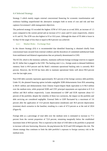#### 4.4 Selected Strategy

Strategy 3 which mainly targets external concessional financing for economic transformation and resilience building outperformed the alternative strategies both in terms of cost and risk and best captures Government's debt management objectives.

The preferred strategy S3 recorded the highest ATM of 10.9 years as at end 2024, an increase of 1.5 years compared to the current period and an increase of 0.1 years and 0.5 years respectively, relative to S1 and S2. The ATR was also highest in S3 at 10.6 years. Although the share of FX debt is lower in S2 than S3 the target of less than or equal to 80.0 percent was achieved.

#### 4.4.1 Market Risks – Exchange Rate

In the chosen Strategy (S3) it is recommended that identified financing is obtained chiefly from concessional loans secured from external creditors and the drawdown of committed undisbursed funds from multilateral and bilateral organizations that are primarily denominated in USD.

The ECCB, which is the monetary authority, maintains sufficient foreign exchange reserves to support the EC dollar that is pegged to the USD. The backing ratio's (i.e., foreign assets to demand liabilities) statutory limit is 60.0 percent and the Bank's minimum operational backing ratio is currently 80.0 percent. However, the ECCB has been able to maintain operational limits well above 90.0 percent over the last eight years.

Non-USD debt currently represents approximately 30.5 percent of the foreign currency debt portfolio. Under S3, the planned financing option includes negligible XDR disbursements from IDA amounting to \$0.01 million and disbursements from Chinese Export-Import Bank equivalent to \$ 96.0 million over the medium term, while projected XDR and CNY principal repayments are equivalent to \$ 51.4 million and \$6.8 million respectively. Loans denominated in GBP and EUR represent about 0.3 percent of the portfolio; despite the volatility of these two currencies, the impact on the portfolio and debt servicing are considered negligible. External Debt to GDP fluctuated by a maximum of 3.6 percent after the application of 15.0 percent depreciation (moderate) and 30.0 percent depreciation (extreme) shock scenarios to the baseline; resulting in a ratio of 47.9 percent as at the end of 2024 (Figure 8).

Foreign debt as a percentage of total debt over the medium term is estimated to increase to 77.1 percent from the current proportion of 72.8 percent, remaining marginally below the established maximum limit of 80.0 percent. This is expected as the share of USD debt in the portfolio is projected to increase with new borrowing. However, the peg between the XCD and USD mitigates this risk. The chosen strategy thus continues to limit the debt portfolio's exposure to foreign currency risk in the medium term.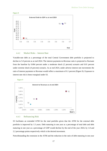



#### 4.4.2 Market Risks – Interest Rate

Variable-rate debt as a percentage of the total Central Government debt portfolio is projected to decline to 5.0 percent as at end 2024. The interest payments-to-Revenue ratio is projected to fluctuate from the baseline by 0.004 percent under a moderate shock (2 percent) scenario and 0.01 percent under extreme shock (4 percent) scenario. As at end 2024, under adverse interest rate movements the ratio of interest payments to Revenue would reflect a maximum of 0.1 percent (Figure 9). Exposure to interest rate risk is hence marginal under S3.

**Figure 9**



#### 4.4.3 Refinancing Risk

S3 facilitates an extended ATM for the total portfolio given that the ATM for the external debt portfolio is improved by 1.5 years. Debt maturing in one year as a percentage of total debt and debt maturing in one year as a percentage of GDP would decline by the end of the year 2024, by 1.8 and 2.2 percentage points respectively which is the desired movement.

Notwithstanding the extension in the ATM and the reduction in the ratio of debt maturing in one year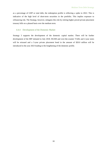as a percentage of GDP or total debt, the redemption profile is reflecting a spike in 2022. This is indicative of the high level of short-term securities in the portfolio. This implies exposure to refinancing risk. The Strategy, however, mitigates this risk by retiring higher priced private placement treasury bills on a phased basis over the medium term.

#### 4.4.4 Development of the Domestic Market

Strategy 3 supports the development of the domestic capital market. There will be further development of the IRP initiated in July 2018. RGSM and over-the-counter T-bills and 2-year notes will be reissued and a 5-year private placement bond in the amount of \$20.0 million will be introduced in the year 2023 leading to the lengthening of the domestic profile.